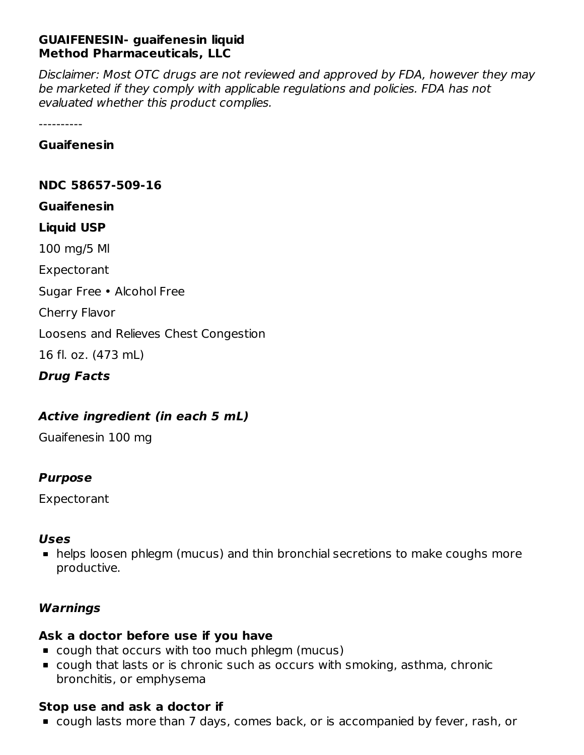# **GUAIFENESIN- guaifenesin liquid Method Pharmaceuticals, LLC**

Disclaimer: Most OTC drugs are not reviewed and approved by FDA, however they may be marketed if they comply with applicable regulations and policies. FDA has not evaluated whether this product complies.

----------

**Guaifenesin**

**NDC 58657-509-16**

**Guaifenesin**

#### **Liquid USP**

100 mg/5 Ml

Expectorant

Sugar Free • Alcohol Free

Cherry Flavor

Loosens and Relieves Chest Congestion

16 fl. oz. (473 mL)

**Drug Facts**

# **Active ingredient (in each 5 mL)**

Guaifenesin 100 mg

# **Purpose**

Expectorant

# **Uses**

helps loosen phlegm (mucus) and thin bronchial secretions to make coughs more productive.

# **Warnings**

# **Ask a doctor before use if you have**

- cough that occurs with too much phlegm (mucus)
- cough that lasts or is chronic such as occurs with smoking, asthma, chronic bronchitis, or emphysema

# **Stop use and ask a doctor if**

cough lasts more than 7 days, comes back, or is accompanied by fever, rash, or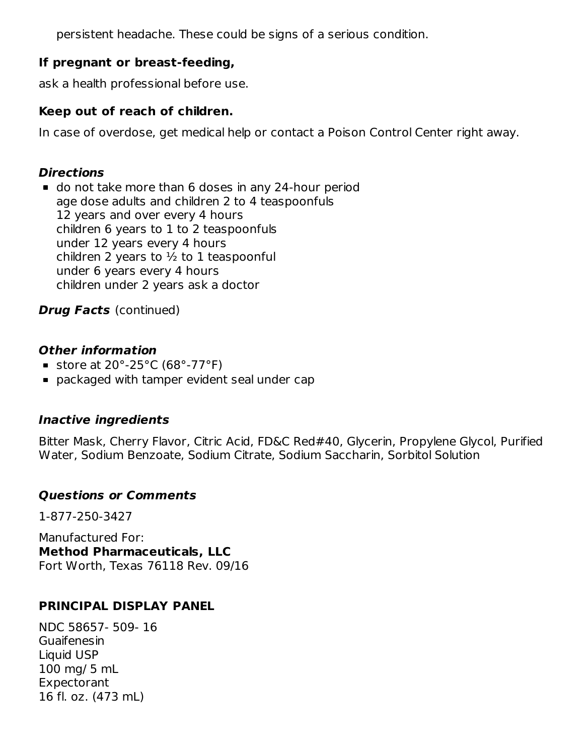persistent headache. These could be signs of a serious condition.

# **If pregnant or breast-feeding,**

ask a health professional before use.

# **Keep out of reach of children.**

In case of overdose, get medical help or contact a Poison Control Center right away.

# **Directions**

do not take more than 6 doses in any 24-hour period age dose adults and children 2 to 4 teaspoonfuls 12 years and over every 4 hours children 6 years to 1 to 2 teaspoonfuls under 12 years every 4 hours children 2 years to  $\frac{1}{2}$  to 1 teaspoonful under 6 years every 4 hours children under 2 years ask a doctor

# **Drug Facts** (continued)

# **Other information**

- Store at  $20^{\circ}$ -25°C (68°-77°F)
- packaged with tamper evident seal under cap

# **Inactive ingredients**

Bitter Mask, Cherry Flavor, Citric Acid, FD&C Red#40, Glycerin, Propylene Glycol, Purified Water, Sodium Benzoate, Sodium Citrate, Sodium Saccharin, Sorbitol Solution

# **Questions or Comments**

1-877-250-3427

Manufactured For: **Method Pharmaceuticals, LLC** Fort Worth, Texas 76118 Rev. 09/16

# **PRINCIPAL DISPLAY PANEL**

NDC 58657- 509- 16 Guaifenesin Liquid USP 100 mg/ 5 mL **Expectorant** 16 fl. oz. (473 mL)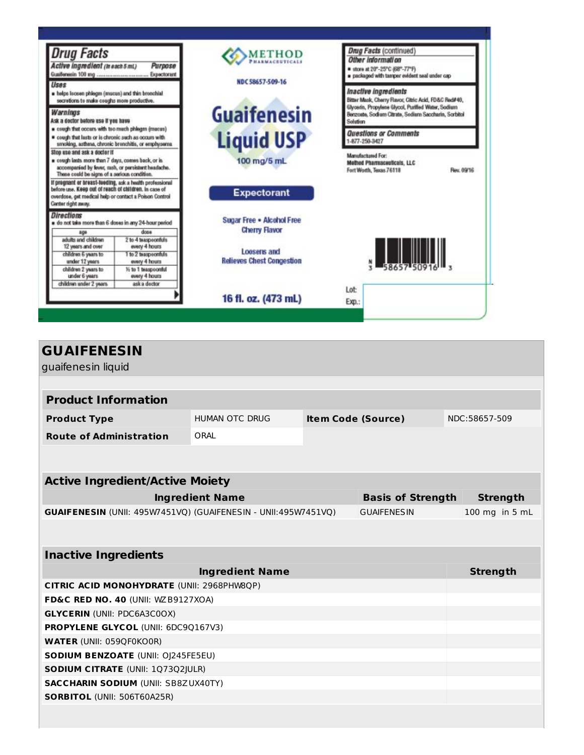| <b>Drug Facts</b><br>Active ingredient (in each 5 mL)<br>Purpose<br>Expectorant<br>Uses<br>helps loosen phiegm (mucus) and thin bronchial<br>secretions to make coughs more productive.<br>Warnings<br>Ask a doctor before use if you have<br>· cough that occurs with too much phisgm (mucus)<br>* cough that lasts or is chronic such as occurs with<br>smoking, asthma, chronic brenchitis, or emphysema. |                                      | <b>METHOD</b><br>NDC 58657-509-16                 | Drug Facts (continued)<br>Other information<br># store at 20°-25°C (68°-77°F)<br>packaged with tamper evident seal under cap-<br>Inactive ingredients<br>Bitter Mask, Cherry Flavor, Citric Acid, FD&C Red#40,<br>Glycerin, Propylene Glycol, Purified Water, Sodium<br>Bergoste, Sodium Citrate, Sedium Saccharin, Sorbitol<br>Solution<br>Questions or Comments<br>-877-250-3427 |  |  |
|--------------------------------------------------------------------------------------------------------------------------------------------------------------------------------------------------------------------------------------------------------------------------------------------------------------------------------------------------------------------------------------------------------------|--------------------------------------|---------------------------------------------------|------------------------------------------------------------------------------------------------------------------------------------------------------------------------------------------------------------------------------------------------------------------------------------------------------------------------------------------------------------------------------------|--|--|
|                                                                                                                                                                                                                                                                                                                                                                                                              |                                      | <b>Guaifenesin</b>                                |                                                                                                                                                                                                                                                                                                                                                                                    |  |  |
|                                                                                                                                                                                                                                                                                                                                                                                                              |                                      | <b>Liquid USP</b>                                 |                                                                                                                                                                                                                                                                                                                                                                                    |  |  |
| Stop use and ask a doctor if<br>cough lasts more than 7 days, comes back, or is<br>accompanied by fever, rash, or persistent headache.<br>These could be signs of a serious condition.                                                                                                                                                                                                                       |                                      | 100 mg/5 mL                                       | Manufactured For:<br><b>Method Pharmaceuticals, LLC</b><br>Fort Worth, Texas 76118<br>Rev. 09/16                                                                                                                                                                                                                                                                                   |  |  |
| If pregnant or breast-feeding, ask a health professional<br>before use. Keep out of reach of children, in case of<br>overdose, get medical help or contact a Poison Control<br>Center right away.                                                                                                                                                                                                            |                                      | <b>Expectorant</b>                                |                                                                                                                                                                                                                                                                                                                                                                                    |  |  |
| <b>Directions</b><br>o do not take more than 6 doses in any 24-hour period                                                                                                                                                                                                                                                                                                                                   | doss                                 | Sugar Free . Alcohol Free<br><b>Cherry Flavor</b> |                                                                                                                                                                                                                                                                                                                                                                                    |  |  |
| age<br>adults and children<br>12 years and over                                                                                                                                                                                                                                                                                                                                                              | 2 to 4 teaspoonfuls<br>every 4 hours |                                                   |                                                                                                                                                                                                                                                                                                                                                                                    |  |  |
| children 6 years to<br>under 12 years                                                                                                                                                                                                                                                                                                                                                                        | 1 to 2 teaspoonfuls<br>every 4 hours | Loosens and<br><b>Relieves Chest Congestion</b>   |                                                                                                                                                                                                                                                                                                                                                                                    |  |  |
| children 2 years to<br>under 6 years                                                                                                                                                                                                                                                                                                                                                                         | 16 to 1 beaspoonful<br>every 4 hours |                                                   |                                                                                                                                                                                                                                                                                                                                                                                    |  |  |
| children under 2 years                                                                                                                                                                                                                                                                                                                                                                                       | ask a doctor                         | 16 fl. oz. (473 mL)                               | Lot<br>Exp.:                                                                                                                                                                                                                                                                                                                                                                       |  |  |

| <b>GUAIFENESIN</b><br>guaifenesin liquid                                             |                        |                           |  |  |                 |
|--------------------------------------------------------------------------------------|------------------------|---------------------------|--|--|-----------------|
|                                                                                      |                        |                           |  |  |                 |
| <b>Product Information</b>                                                           |                        |                           |  |  |                 |
| <b>Product Type</b>                                                                  | <b>HUMAN OTC DRUG</b>  | <b>Item Code (Source)</b> |  |  | NDC:58657-509   |
| <b>Route of Administration</b>                                                       | ORAL                   |                           |  |  |                 |
|                                                                                      |                        |                           |  |  |                 |
|                                                                                      |                        |                           |  |  |                 |
| <b>Active Ingredient/Active Moiety</b>                                               |                        |                           |  |  |                 |
| <b>Ingredient Name</b><br><b>Basis of Strength</b>                                   |                        |                           |  |  | <b>Strength</b> |
| GUAIFENESIN (UNII: 495W7451VQ) (GUAIFENESIN - UNII:495W7451VQ)<br><b>GUAIFENESIN</b> |                        |                           |  |  | 100 mg in 5 mL  |
|                                                                                      |                        |                           |  |  |                 |
|                                                                                      |                        |                           |  |  |                 |
| <b>Inactive Ingredients</b>                                                          |                        |                           |  |  |                 |
|                                                                                      | <b>Ingredient Name</b> |                           |  |  | <b>Strength</b> |
| CITRIC ACID MONOHYDRATE (UNII: 2968PHW8QP)                                           |                        |                           |  |  |                 |
| FD&C RED NO. 40 (UNII: WZB9127XOA)                                                   |                        |                           |  |  |                 |
| <b>GLYCERIN (UNII: PDC6A3C0OX)</b>                                                   |                        |                           |  |  |                 |
| <b>PROPYLENE GLYCOL (UNII: 6DC9Q167V3)</b>                                           |                        |                           |  |  |                 |
| <b>WATER (UNII: 059QF0KO0R)</b>                                                      |                        |                           |  |  |                 |
| <b>SODIUM BENZOATE (UNII: OJ245FE5EU)</b>                                            |                        |                           |  |  |                 |
| <b>SODIUM CITRATE (UNII: 1Q73Q2JULR)</b>                                             |                        |                           |  |  |                 |
| <b>SACCHARIN SODIUM (UNII: SB8ZUX40TY)</b><br><b>SORBITOL (UNII: 506T60A25R)</b>     |                        |                           |  |  |                 |
|                                                                                      |                        |                           |  |  |                 |
|                                                                                      |                        |                           |  |  |                 |
|                                                                                      |                        |                           |  |  |                 |